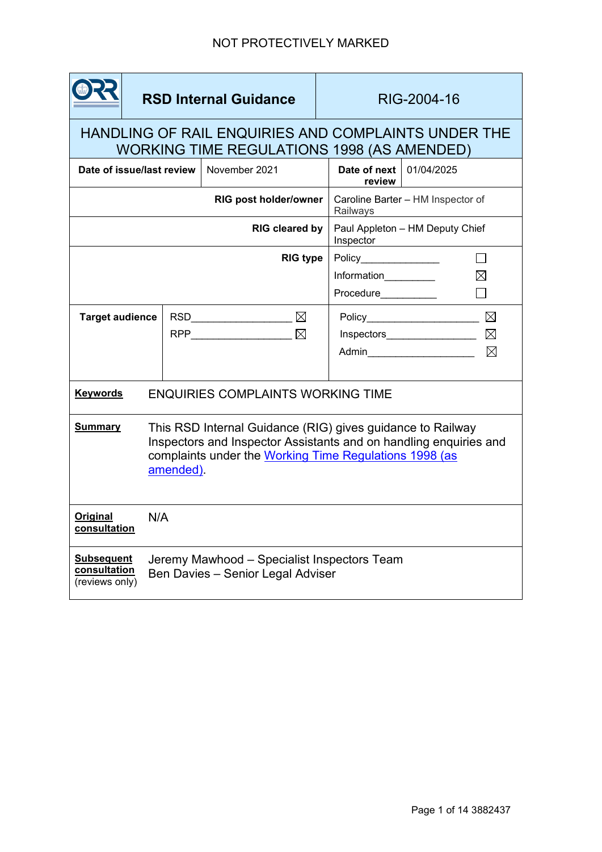

**RSD Internal Guidance** 

# HANDLING OF RAIL ENQUIRIES AND COMPLAINTS UNDER THE WORKING TIME REGULATIONS 1998 (AS AMENDED)

| Date of issue/last review                           |                                                                                                                                                                                                       | November 2021                                                                        | Date of next  <br>review                      | 01/04/2025                                   |
|-----------------------------------------------------|-------------------------------------------------------------------------------------------------------------------------------------------------------------------------------------------------------|--------------------------------------------------------------------------------------|-----------------------------------------------|----------------------------------------------|
| RIG post holder/owner                               |                                                                                                                                                                                                       |                                                                                      | Caroline Barter - HM Inspector of<br>Railways |                                              |
| <b>RIG cleared by</b>                               |                                                                                                                                                                                                       |                                                                                      | Paul Appleton - HM Deputy Chief<br>Inspector  |                                              |
| <b>RIG type</b>                                     |                                                                                                                                                                                                       |                                                                                      | Policy_______________                         |                                              |
|                                                     |                                                                                                                                                                                                       |                                                                                      | Information_________                          |                                              |
|                                                     |                                                                                                                                                                                                       |                                                                                      | Procedure___________                          |                                              |
| <b>Target audience</b>                              |                                                                                                                                                                                                       | RSD________________________ $\boxtimes$                                              |                                               | $\boxtimes$                                  |
|                                                     |                                                                                                                                                                                                       | $\mathsf{RPP}\_\_\_\_\_\_\_\_\_\_\_\_\_\_\_\_\_\_\_\_\_\_\_\_\_\_\_\_\_\_\_\_\_\_\_$ |                                               | $\boxtimes$<br>Inspectors___________________ |
|                                                     |                                                                                                                                                                                                       |                                                                                      |                                               | ⊠<br>Admin                                   |
|                                                     |                                                                                                                                                                                                       |                                                                                      |                                               |                                              |
| <b>Keywords</b>                                     | <b>ENQUIRIES COMPLAINTS WORKING TIME</b>                                                                                                                                                              |                                                                                      |                                               |                                              |
| <b>Summary</b>                                      | This RSD Internal Guidance (RIG) gives guidance to Railway<br>Inspectors and Inspector Assistants and on handling enquiries and<br>complaints under the Working Time Regulations 1998 (as<br>amended) |                                                                                      |                                               |                                              |
| <b>Original</b><br>consultation                     | N/A                                                                                                                                                                                                   |                                                                                      |                                               |                                              |
| <b>Subsequent</b><br>consultation<br>(reviews only) | Jeremy Mawhood - Specialist Inspectors Team<br>Ben Davies - Senior Legal Adviser                                                                                                                      |                                                                                      |                                               |                                              |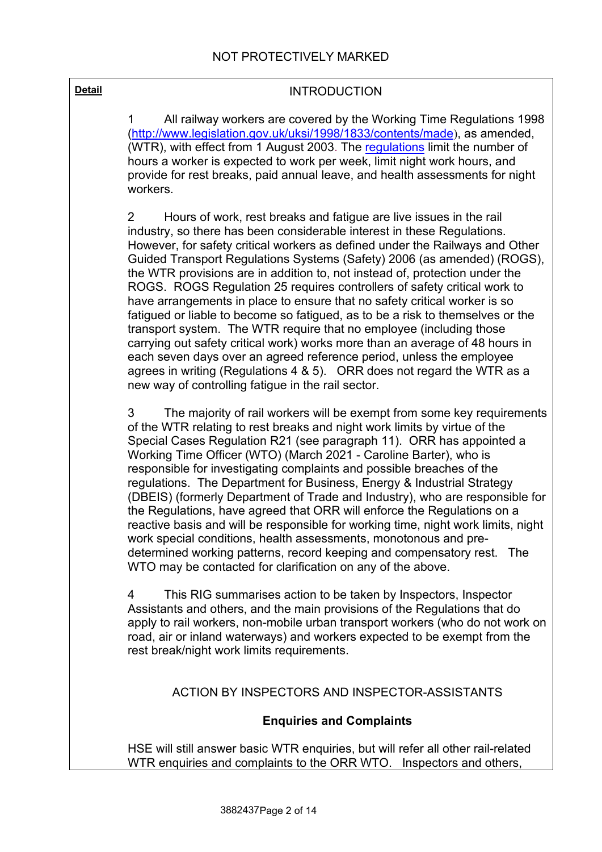#### **Detail Detail INTRODUCTION**

1 All railway workers are covered by the Working Time Regulations 1998 [\(http://www.legislation.gov.uk/uksi/1998/1833/contents/made](http://www.legislation.gov.uk/uksi/1998/1833/contents/made)), as amended, (WTR), with effect from 1 August 2003. The [regulations](http://www.opsi.gov.uk/si/si2003/20031684.htm) limit the number of hours a worker is expected to work per week, limit night work hours, and provide for rest breaks, paid annual leave, and health assessments for night workers.

2 Hours of work, rest breaks and fatigue are live issues in the rail industry, so there has been considerable interest in these Regulations. However, for safety critical workers as defined under the Railways and Other Guided Transport Regulations Systems (Safety) 2006 (as amended) (ROGS), the WTR provisions are in addition to, not instead of, protection under the ROGS. ROGS Regulation 25 requires controllers of safety critical work to have arrangements in place to ensure that no safety critical worker is so fatigued or liable to become so fatigued, as to be a risk to themselves or the transport system. The WTR require that no employee (including those carrying out safety critical work) works more than an average of 48 hours in each seven days over an agreed reference period, unless the employee agrees in writing (Regulations 4 & 5).ORR does not regard the WTR as a new way of controlling fatigue in the rail sector.

3 The majority of rail workers will be exempt from some key requirements of the WTR relating to rest breaks and night work limits by virtue of the Special Cases Regulation R21 (see paragraph 11). ORR has appointed a Working Time Officer (WTO) (March 2021 - Caroline Barter), who is responsible for investigating complaints and possible breaches of the regulations. The Department for Business, Energy & Industrial Strategy (DBEIS) (formerly Department of Trade and Industry), who are responsible for the Regulations, have agreed that ORR will enforce the Regulations on a reactive basis and will be responsible for working time, night work limits, night work special conditions, health assessments, monotonous and predetermined working patterns, record keeping and compensatory rest. The WTO may be contacted for clarification on any of the above.

4 This RIG summarises action to be taken by Inspectors, Inspector Assistants and others, and the main provisions of the Regulations that do apply to rail workers, non-mobile urban transport workers (who do not work on road, air or inland waterways) and workers expected to be exempt from the rest break/night work limits requirements.

#### ACTION BY INSPECTORS AND INSPECTOR-ASSISTANTS

#### **Enquiries and Complaints**

HSE will still answer basic WTR enquiries, but will refer all other rail-related WTR enquiries and complaints to the ORR WTO. Inspectors and others,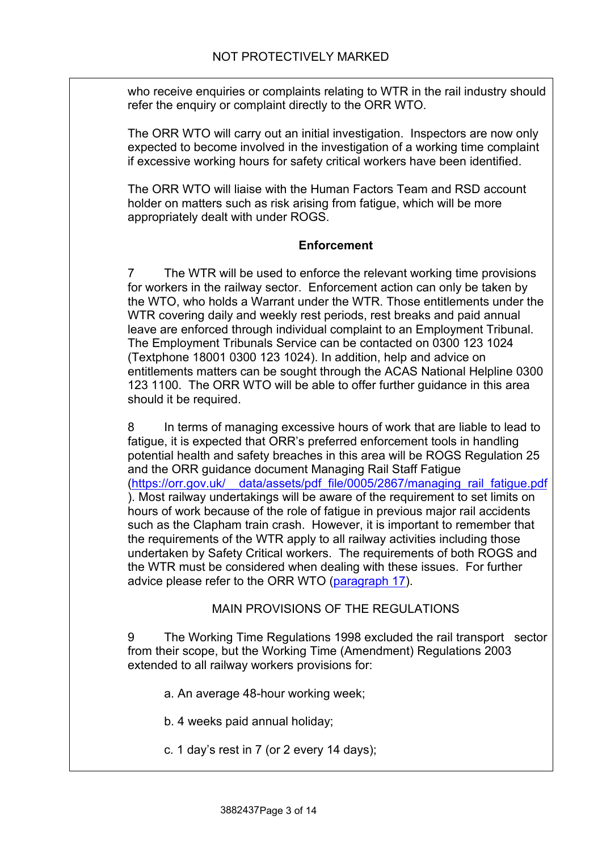who receive enquiries or complaints relating to WTR in the rail industry should refer the enquiry or complaint directly to the ORR WTO.

The ORR WTO will carry out an initial investigation. Inspectors are now only expected to become involved in the investigation of a working time complaint if excessive working hours for safety critical workers have been identified.

The ORR WTO will liaise with the Human Factors Team and RSD account holder on matters such as risk arising from fatigue, which will be more appropriately dealt with under ROGS.

#### **Enforcement**

7 The WTR will be used to enforce the relevant working time provisions for workers in the railway sector. Enforcement action can only be taken by the WTO, who holds a Warrant under the WTR. Those entitlements under the WTR covering daily and weekly rest periods, rest breaks and paid annual leave are enforced through individual complaint to an Employment Tribunal. The Employment Tribunals Service can be contacted on 0300 123 1024 (Textphone 18001 0300 123 1024). In addition, help and advice on entitlements matters can be sought through the ACAS National Helpline 0300 123 1100. The ORR WTO will be able to offer further guidance in this area should it be required.

8 In terms of managing excessive hours of work that are liable to lead to fatigue, it is expected that ORR's preferred enforcement tools in handling potential health and safety breaches in this area will be ROGS Regulation 25 and the ORR guidance document Managing Rail Staff Fatigue [\(https://orr.gov.uk/\\_\\_data/assets/pdf\\_file/0005/2867/managing\\_rail\\_fatigue.pdf](https://orr.gov.uk/__data/assets/pdf_file/0005/2867/managing_rail_fatigue.pdf) ). Most railway undertakings will be aware of the requirement to set limits on hours of work because of the role of fatigue in previous major rail accidents such as the Clapham train crash. However, it is important to remember that the requirements of the WTR apply to all railway activities including those undertaken by Safety Critical workers. The requirements of both ROGS and the WTR must be considered when dealing with these issues. For further advice please refer to the ORR WTO [\(paragraph 17\)](#page-4-0).

#### MAIN PROVISIONS OF THE REGULATIONS

<span id="page-2-0"></span>9 The Working Time Regulations 1998 excluded the rail transport sector from their scope, but the Working Time (Amendment) Regulations 2003 extended to all railway workers provisions for:

- a. An average 48-hour working week;
- b. 4 weeks paid annual holiday;
- c. 1 day's rest in 7 (or 2 every 14 days);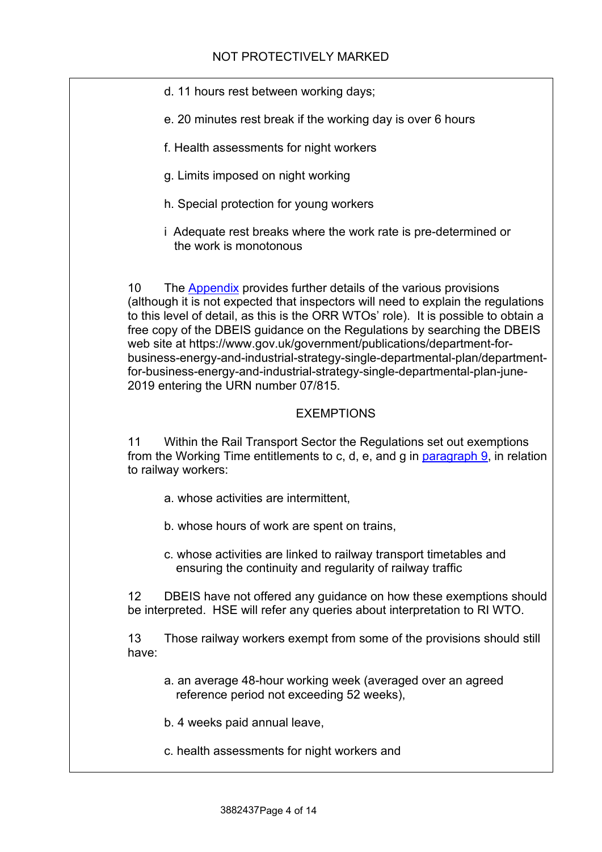- d. 11 hours rest between working days;
- e. 20 minutes rest break if the working day is over 6 hours
- f. Health assessments for night workers
- g. Limits imposed on night working
- h. Special protection for young workers
- i Adequate rest breaks where the work rate is pre-determined or the work is monotonous

10 The [Appendix](#page-5-0) provides further details of the various provisions (although it is not expected that inspectors will need to explain the regulations to this level of detail, as this is the ORR WTOs' role). It is possible to obtain a free copy of the DBEIS guidance on the Regulations by searching the DBEIS web site at https://www.gov.uk/government/publications/department-forbusiness-energy-and-industrial-strategy-single-departmental-plan/departmentfor-business-energy-and-industrial-strategy-single-departmental-plan-june-2019 entering the URN number 07/815.

#### EXEMPTIONS

11 Within the Rail Transport Sector the Regulations set out exemptions from the Working Time entitlements to c, d, e, and g in [paragraph 9,](#page-2-0) in relation to railway workers:

- a. whose activities are intermittent,
- b. whose hours of work are spent on trains,
- c. whose activities are linked to railway transport timetables and ensuring the continuity and regularity of railway traffic

12 DBEIS have not offered any guidance on how these exemptions should be interpreted. HSE will refer any queries about interpretation to RI WTO.

13 Those railway workers exempt from some of the provisions should still have:

- a. an average 48-hour working week (averaged over an agreed reference period not exceeding 52 weeks),
- b. 4 weeks paid annual leave,
- c. health assessments for night workers and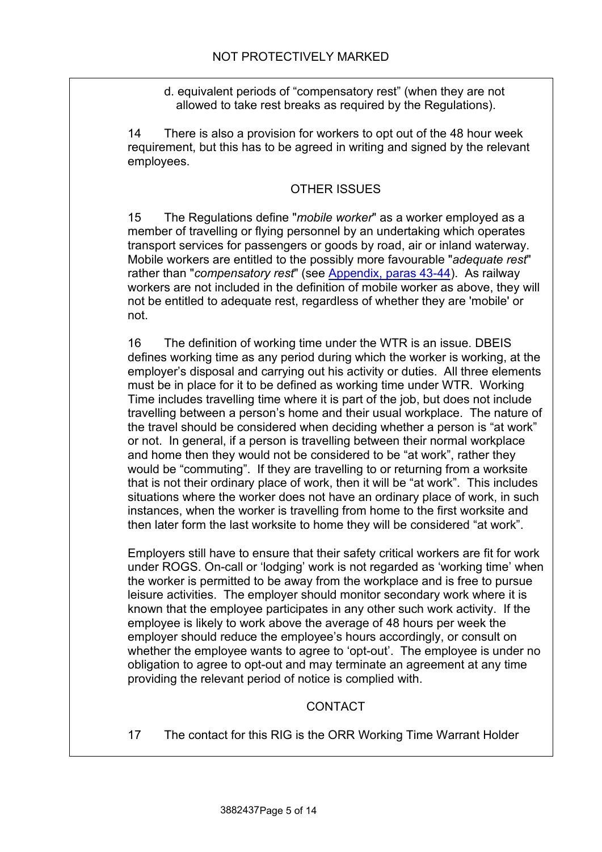d. equivalent periods of "compensatory rest" (when they are not allowed to take rest breaks as required by the Regulations).

14 There is also a provision for workers to opt out of the 48 hour week requirement, but this has to be agreed in writing and signed by the relevant employees.

### OTHER ISSUES

15 The Regulations define "*mobile worker*" as a worker employed as a member of travelling or flying personnel by an undertaking which operates transport services for passengers or goods by road, air or inland waterway. Mobile workers are entitled to the possibly more favourable "*adequate rest*" rather than "*compensatory rest*" (see [Appendix, paras 43-44\)](#page-10-0). As railway workers are not included in the definition of mobile worker as above, they will not be entitled to adequate rest, regardless of whether they are 'mobile' or not.

16 The definition of working time under the WTR is an issue. DBEIS defines working time as any period during which the worker is working, at the employer's disposal and carrying out his activity or duties. All three elements must be in place for it to be defined as working time under WTR. Working Time includes travelling time where it is part of the job, but does not include travelling between a person's home and their usual workplace. The nature of the travel should be considered when deciding whether a person is "at work" or not. In general, if a person is travelling between their normal workplace and home then they would not be considered to be "at work", rather they would be "commuting". If they are travelling to or returning from a worksite that is not their ordinary place of work, then it will be "at work". This includes situations where the worker does not have an ordinary place of work, in such instances, when the worker is travelling from home to the first worksite and then later form the last worksite to home they will be considered "at work".

Employers still have to ensure that their safety critical workers are fit for work under ROGS. On-call or 'lodging' work is not regarded as 'working time' when the worker is permitted to be away from the workplace and is free to pursue leisure activities. The employer should monitor secondary work where it is known that the employee participates in any other such work activity. If the employee is likely to work above the average of 48 hours per week the employer should reduce the employee's hours accordingly, or consult on whether the employee wants to agree to 'opt-out'. The employee is under no obligation to agree to opt-out and may terminate an agreement at any time providing the relevant period of notice is complied with.

## CONTACT

<span id="page-4-0"></span>17 The contact for this RIG is the ORR Working Time Warrant Holder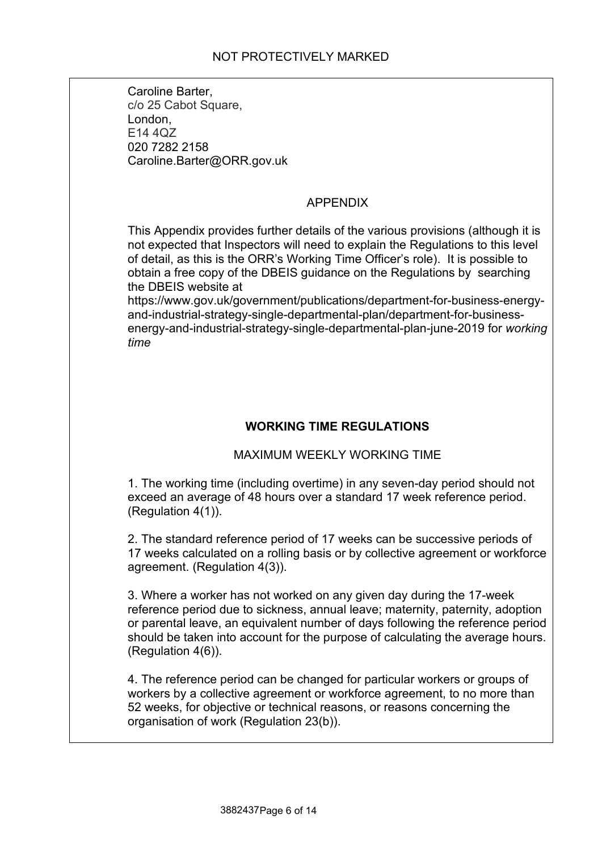Caroline Barter, c/o 25 Cabot Square, London, E14 4QZ 020 7282 2158 Caroline.Barter@ORR.gov.uk

## APPENDIX

<span id="page-5-0"></span>This Appendix provides further details of the various provisions (although it is not expected that Inspectors will need to explain the Regulations to this level of detail, as this is the ORR's Working Time Officer's role). It is possible to obtain a free copy of the DBEIS guidance on the Regulations by searching the DBEIS website at

https://www.gov.uk/government/publications/department-for-business-energyand-industrial-strategy-single-departmental-plan/department-for-businessenergy-and-industrial-strategy-single-departmental-plan-june-2019 for *working time*

## **WORKING TIME REGULATIONS**

## MAXIMUM WEEKLY WORKING TIME

1. The working time (including overtime) in any seven-day period should not exceed an average of 48 hours over a standard 17 week reference period. (Regulation 4(1)).

2. The standard reference period of 17 weeks can be successive periods of 17 weeks calculated on a rolling basis or by collective agreement or workforce agreement. (Regulation 4(3)).

3. Where a worker has not worked on any given day during the 17-week reference period due to sickness, annual leave; maternity, paternity, adoption or parental leave, an equivalent number of days following the reference period should be taken into account for the purpose of calculating the average hours. (Regulation 4(6)).

4. The reference period can be changed for particular workers or groups of workers by a collective agreement or workforce agreement, to no more than 52 weeks, for objective or technical reasons, or reasons concerning the organisation of work (Regulation 23(b)).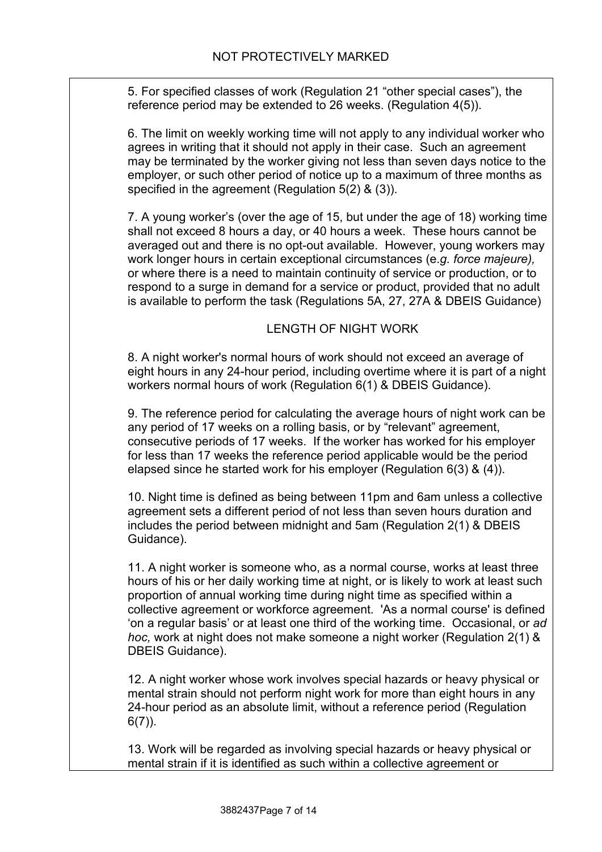5. For specified classes of work (Regulation 21 "other special cases"), the reference period may be extended to 26 weeks. (Regulation 4(5)).

6. The limit on weekly working time will not apply to any individual worker who agrees in writing that it should not apply in their case. Such an agreement may be terminated by the worker giving not less than seven days notice to the employer, or such other period of notice up to a maximum of three months as specified in the agreement (Regulation 5(2) & (3)).

7. A young worker's (over the age of 15, but under the age of 18) working time shall not exceed 8 hours a day, or 40 hours a week. These hours cannot be averaged out and there is no opt-out available. However, young workers may work longer hours in certain exceptional circumstances (e.*g. force majeure),*  or where there is a need to maintain continuity of service or production, or to respond to a surge in demand for a service or product, provided that no adult is available to perform the task (Regulations 5A, 27, 27A & DBEIS Guidance)

#### LENGTH OF NIGHT WORK

8. A night worker's normal hours of work should not exceed an average of eight hours in any 24-hour period, including overtime where it is part of a night workers normal hours of work (Regulation 6(1) & DBEIS Guidance).

9. The reference period for calculating the average hours of night work can be any period of 17 weeks on a rolling basis, or by "relevant" agreement, consecutive periods of 17 weeks. If the worker has worked for his employer for less than 17 weeks the reference period applicable would be the period elapsed since he started work for his employer (Regulation 6(3) & (4)).

10. Night time is defined as being between 11pm and 6am unless a collective agreement sets a different period of not less than seven hours duration and includes the period between midnight and 5am (Regulation 2(1) & DBEIS Guidance).

11. A night worker is someone who, as a normal course, works at least three hours of his or her daily working time at night, or is likely to work at least such proportion of annual working time during night time as specified within a collective agreement or workforce agreement. 'As a normal course' is defined 'on a regular basis' or at least one third of the working time. Occasional, or *ad hoc,* work at night does not make someone a night worker (Regulation 2(1) & DBEIS Guidance).

12. A night worker whose work involves special hazards or heavy physical or mental strain should not perform night work for more than eight hours in any 24-hour period as an absolute limit, without a reference period (Regulation  $6(7)$ ).

13. Work will be regarded as involving special hazards or heavy physical or mental strain if it is identified as such within a collective agreement or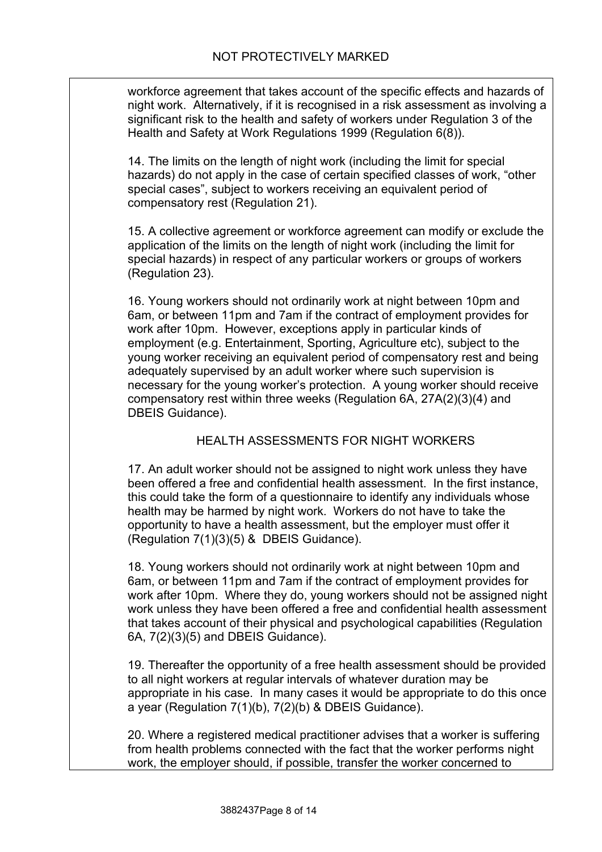workforce agreement that takes account of the specific effects and hazards of night work. Alternatively, if it is recognised in a risk assessment as involving a significant risk to the health and safety of workers under Regulation 3 of the Health and Safety at Work Regulations 1999 (Regulation 6(8)).

14. The limits on the length of night work (including the limit for special hazards) do not apply in the case of certain specified classes of work, "other special cases", subject to workers receiving an equivalent period of compensatory rest (Regulation 21).

15. A collective agreement or workforce agreement can modify or exclude the application of the limits on the length of night work (including the limit for special hazards) in respect of any particular workers or groups of workers (Regulation 23).

16. Young workers should not ordinarily work at night between 10pm and 6am, or between 11pm and 7am if the contract of employment provides for work after 10pm. However, exceptions apply in particular kinds of employment (e.g. Entertainment, Sporting, Agriculture etc), subject to the young worker receiving an equivalent period of compensatory rest and being adequately supervised by an adult worker where such supervision is necessary for the young worker's protection. A young worker should receive compensatory rest within three weeks (Regulation 6A, 27A(2)(3)(4) and DBEIS Guidance).

### HEALTH ASSESSMENTS FOR NIGHT WORKERS

17. An adult worker should not be assigned to night work unless they have been offered a free and confidential health assessment. In the first instance, this could take the form of a questionnaire to identify any individuals whose health may be harmed by night work. Workers do not have to take the opportunity to have a health assessment, but the employer must offer it (Regulation 7(1)(3)(5) & DBEIS Guidance).

18. Young workers should not ordinarily work at night between 10pm and 6am, or between 11pm and 7am if the contract of employment provides for work after 10pm. Where they do, young workers should not be assigned night work unless they have been offered a free and confidential health assessment that takes account of their physical and psychological capabilities (Regulation 6A, 7(2)(3)(5) and DBEIS Guidance).

19. Thereafter the opportunity of a free health assessment should be provided to all night workers at regular intervals of whatever duration may be appropriate in his case. In many cases it would be appropriate to do this once a year (Regulation 7(1)(b), 7(2)(b) & DBEIS Guidance).

20. Where a registered medical practitioner advises that a worker is suffering from health problems connected with the fact that the worker performs night work, the employer should, if possible, transfer the worker concerned to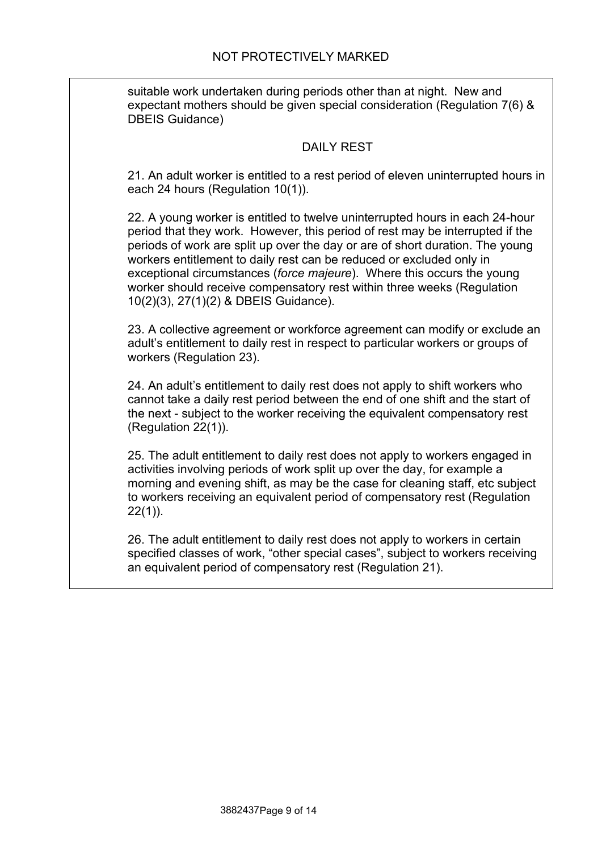suitable work undertaken during periods other than at night. New and expectant mothers should be given special consideration (Regulation 7(6) & DBEIS Guidance)

#### DAILY REST

21. An adult worker is entitled to a rest period of eleven uninterrupted hours in each 24 hours (Regulation 10(1)).

22. A young worker is entitled to twelve uninterrupted hours in each 24-hour period that they work. However, this period of rest may be interrupted if the periods of work are split up over the day or are of short duration. The young workers entitlement to daily rest can be reduced or excluded only in exceptional circumstances (*force majeure*). Where this occurs the young worker should receive compensatory rest within three weeks (Regulation 10(2)(3), 27(1)(2) & DBEIS Guidance).

23. A collective agreement or workforce agreement can modify or exclude an adult's entitlement to daily rest in respect to particular workers or groups of workers (Regulation 23).

24. An adult's entitlement to daily rest does not apply to shift workers who cannot take a daily rest period between the end of one shift and the start of the next - subject to the worker receiving the equivalent compensatory rest (Regulation 22(1)).

25. The adult entitlement to daily rest does not apply to workers engaged in activities involving periods of work split up over the day, for example a morning and evening shift, as may be the case for cleaning staff, etc subject to workers receiving an equivalent period of compensatory rest (Regulation  $22(1)$ ).

26. The adult entitlement to daily rest does not apply to workers in certain specified classes of work, "other special cases", subject to workers receiving an equivalent period of compensatory rest (Regulation 21).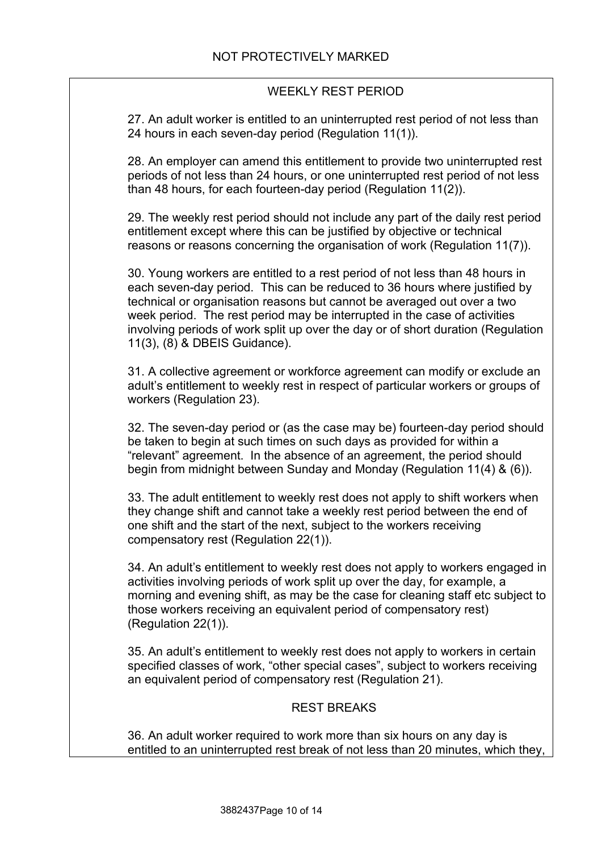#### WEEKLY REST PERIOD

27. An adult worker is entitled to an uninterrupted rest period of not less than 24 hours in each seven-day period (Regulation 11(1)).

28. An employer can amend this entitlement to provide two uninterrupted rest periods of not less than 24 hours, or one uninterrupted rest period of not less than 48 hours, for each fourteen-day period (Regulation 11(2)).

29. The weekly rest period should not include any part of the daily rest period entitlement except where this can be justified by objective or technical reasons or reasons concerning the organisation of work (Regulation 11(7)).

30. Young workers are entitled to a rest period of not less than 48 hours in each seven-day period. This can be reduced to 36 hours where justified by technical or organisation reasons but cannot be averaged out over a two week period. The rest period may be interrupted in the case of activities involving periods of work split up over the day or of short duration (Regulation 11(3), (8) & DBEIS Guidance).

31. A collective agreement or workforce agreement can modify or exclude an adult's entitlement to weekly rest in respect of particular workers or groups of workers (Regulation 23).

32. The seven-day period or (as the case may be) fourteen-day period should be taken to begin at such times on such days as provided for within a "relevant" agreement. In the absence of an agreement, the period should begin from midnight between Sunday and Monday (Regulation 11(4) & (6)).

33. The adult entitlement to weekly rest does not apply to shift workers when they change shift and cannot take a weekly rest period between the end of one shift and the start of the next, subject to the workers receiving compensatory rest (Regulation 22(1)).

34. An adult's entitlement to weekly rest does not apply to workers engaged in activities involving periods of work split up over the day, for example, a morning and evening shift, as may be the case for cleaning staff etc subject to those workers receiving an equivalent period of compensatory rest) (Regulation 22(1)).

35. An adult's entitlement to weekly rest does not apply to workers in certain specified classes of work, "other special cases", subject to workers receiving an equivalent period of compensatory rest (Regulation 21).

#### REST BREAKS

36. An adult worker required to work more than six hours on any day is entitled to an uninterrupted rest break of not less than 20 minutes, which they,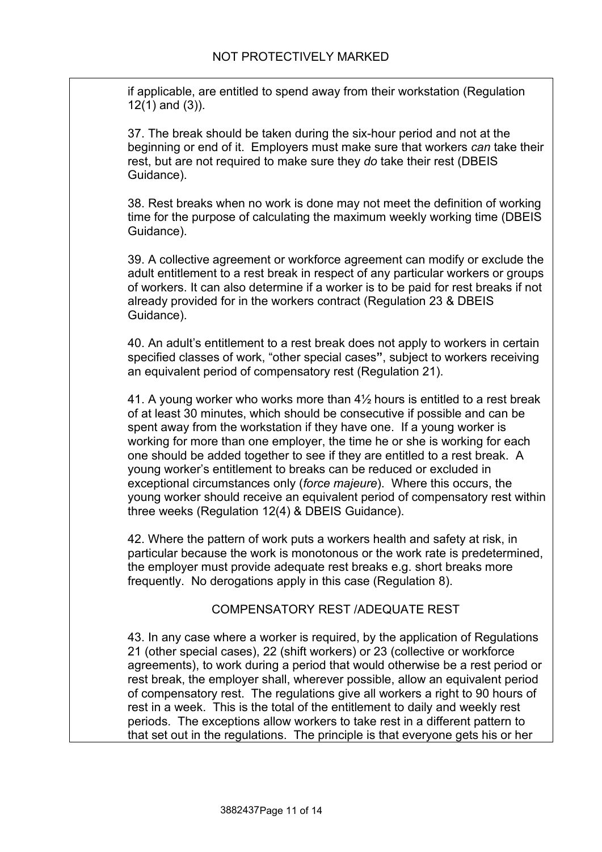if applicable, are entitled to spend away from their workstation (Regulation 12(1) and (3)).

37. The break should be taken during the six-hour period and not at the beginning or end of it. Employers must make sure that workers *can* take their rest, but are not required to make sure they *do* take their rest (DBEIS Guidance).

38. Rest breaks when no work is done may not meet the definition of working time for the purpose of calculating the maximum weekly working time (DBEIS Guidance).

39. A collective agreement or workforce agreement can modify or exclude the adult entitlement to a rest break in respect of any particular workers or groups of workers. It can also determine if a worker is to be paid for rest breaks if not already provided for in the workers contract (Regulation 23 & DBEIS Guidance).

40. An adult's entitlement to a rest break does not apply to workers in certain specified classes of work, "other special cases**"**, subject to workers receiving an equivalent period of compensatory rest (Regulation 21).

41. A young worker who works more than 4½ hours is entitled to a rest break of at least 30 minutes, which should be consecutive if possible and can be spent away from the workstation if they have one. If a young worker is working for more than one employer, the time he or she is working for each one should be added together to see if they are entitled to a rest break. A young worker's entitlement to breaks can be reduced or excluded in exceptional circumstances only (*force majeure*). Where this occurs, the young worker should receive an equivalent period of compensatory rest within three weeks (Regulation 12(4) & DBEIS Guidance).

42. Where the pattern of work puts a workers health and safety at risk, in particular because the work is monotonous or the work rate is predetermined, the employer must provide adequate rest breaks e.g. short breaks more frequently. No derogations apply in this case (Regulation 8).

#### COMPENSATORY REST /ADEQUATE REST

<span id="page-10-0"></span>43. In any case where a worker is required, by the application of Regulations 21 (other special cases), 22 (shift workers) or 23 (collective or workforce agreements), to work during a period that would otherwise be a rest period or rest break, the employer shall, wherever possible, allow an equivalent period of compensatory rest. The regulations give all workers a right to 90 hours of rest in a week. This is the total of the entitlement to daily and weekly rest periods. The exceptions allow workers to take rest in a different pattern to that set out in the regulations. The principle is that everyone gets his or her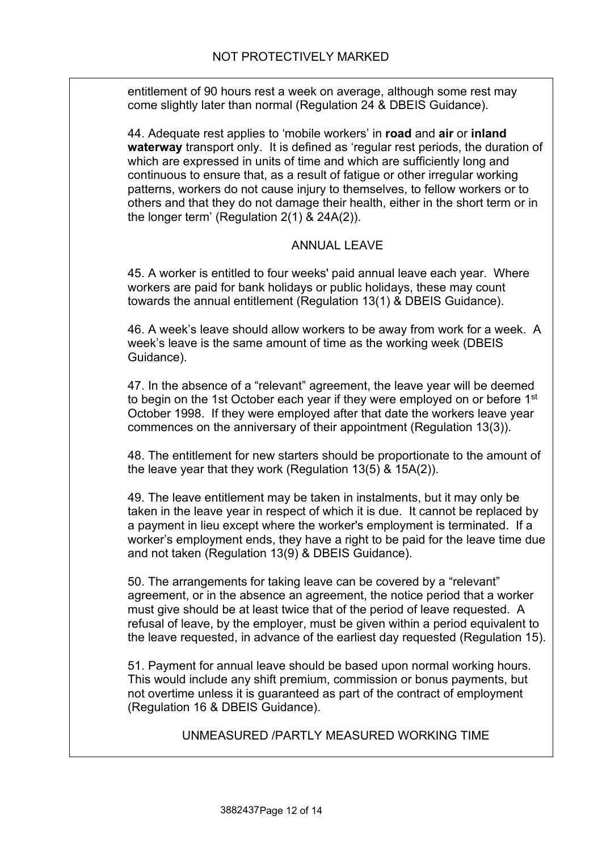entitlement of 90 hours rest a week on average, although some rest may come slightly later than normal (Regulation 24 & DBEIS Guidance).

44. Adequate rest applies to 'mobile workers' in **road** and **air** or **inland waterway** transport only. It is defined as 'regular rest periods, the duration of which are expressed in units of time and which are sufficiently long and continuous to ensure that, as a result of fatigue or other irregular working patterns, workers do not cause injury to themselves, to fellow workers or to others and that they do not damage their health, either in the short term or in the longer term' (Regulation 2(1) & 24A(2)).

#### ANNUAL LEAVE

45. A worker is entitled to four weeks' paid annual leave each year. Where workers are paid for bank holidays or public holidays, these may count towards the annual entitlement (Regulation 13(1) & DBEIS Guidance).

46. A week's leave should allow workers to be away from work for a week. A week's leave is the same amount of time as the working week (DBEIS Guidance).

47. In the absence of a "relevant" agreement, the leave year will be deemed to begin on the 1st October each year if they were employed on or before 1<sup>st</sup> October 1998. If they were employed after that date the workers leave year commences on the anniversary of their appointment (Regulation 13(3)).

48. The entitlement for new starters should be proportionate to the amount of the leave year that they work (Regulation 13(5) & 15A(2)).

49. The leave entitlement may be taken in instalments, but it may only be taken in the leave year in respect of which it is due. It cannot be replaced by a payment in lieu except where the worker's employment is terminated. If a worker's employment ends, they have a right to be paid for the leave time due and not taken (Regulation 13(9) & DBEIS Guidance).

50. The arrangements for taking leave can be covered by a "relevant" agreement, or in the absence an agreement, the notice period that a worker must give should be at least twice that of the period of leave requested. A refusal of leave, by the employer, must be given within a period equivalent to the leave requested, in advance of the earliest day requested (Regulation 15).

51. Payment for annual leave should be based upon normal working hours. This would include any shift premium, commission or bonus payments, but not overtime unless it is guaranteed as part of the contract of employment (Regulation 16 & DBEIS Guidance).

#### UNMEASURED /PARTLY MEASURED WORKING TIME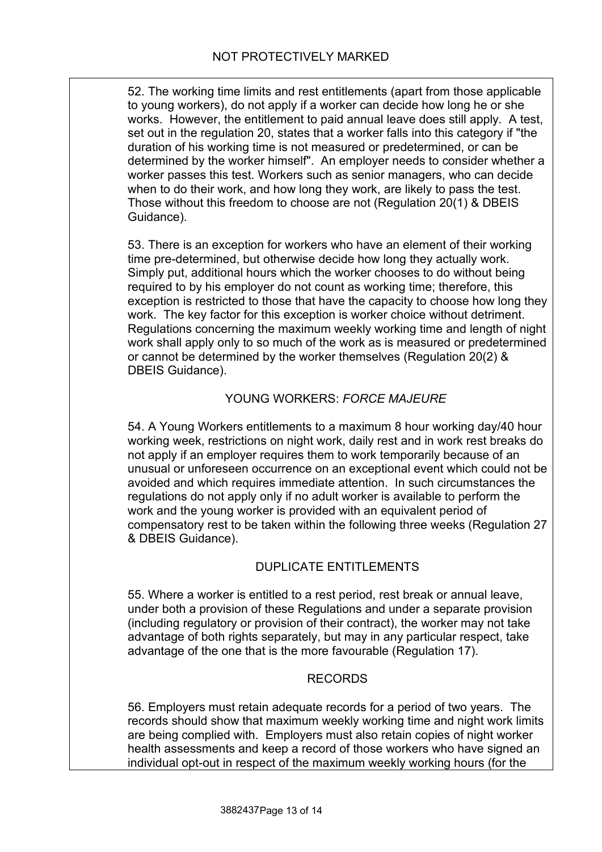52. The working time limits and rest entitlements (apart from those applicable to young workers), do not apply if a worker can decide how long he or she works. However, the entitlement to paid annual leave does still apply. A test, set out in the regulation 20, states that a worker falls into this category if "the duration of his working time is not measured or predetermined, or can be determined by the worker himself". An employer needs to consider whether a worker passes this test. Workers such as senior managers, who can decide when to do their work, and how long they work, are likely to pass the test. Those without this freedom to choose are not (Regulation 20(1) & DBEIS Guidance).

53. There is an exception for workers who have an element of their working time pre-determined, but otherwise decide how long they actually work. Simply put, additional hours which the worker chooses to do without being required to by his employer do not count as working time; therefore, this exception is restricted to those that have the capacity to choose how long they work. The key factor for this exception is worker choice without detriment. Regulations concerning the maximum weekly working time and length of night work shall apply only to so much of the work as is measured or predetermined or cannot be determined by the worker themselves (Regulation 20(2) & DBEIS Guidance).

#### YOUNG WORKERS: *FORCE MAJEURE*

54. A Young Workers entitlements to a maximum 8 hour working day/40 hour working week, restrictions on night work, daily rest and in work rest breaks do not apply if an employer requires them to work temporarily because of an unusual or unforeseen occurrence on an exceptional event which could not be avoided and which requires immediate attention. In such circumstances the regulations do not apply only if no adult worker is available to perform the work and the young worker is provided with an equivalent period of compensatory rest to be taken within the following three weeks (Regulation 27 & DBEIS Guidance).

### DUPLICATE ENTITLEMENTS

55. Where a worker is entitled to a rest period, rest break or annual leave, under both a provision of these Regulations and under a separate provision (including regulatory or provision of their contract), the worker may not take advantage of both rights separately, but may in any particular respect, take advantage of the one that is the more favourable (Regulation 17).

#### RECORDS

56. Employers must retain adequate records for a period of two years. The records should show that maximum weekly working time and night work limits are being complied with. Employers must also retain copies of night worker health assessments and keep a record of those workers who have signed an individual opt-out in respect of the maximum weekly working hours (for the